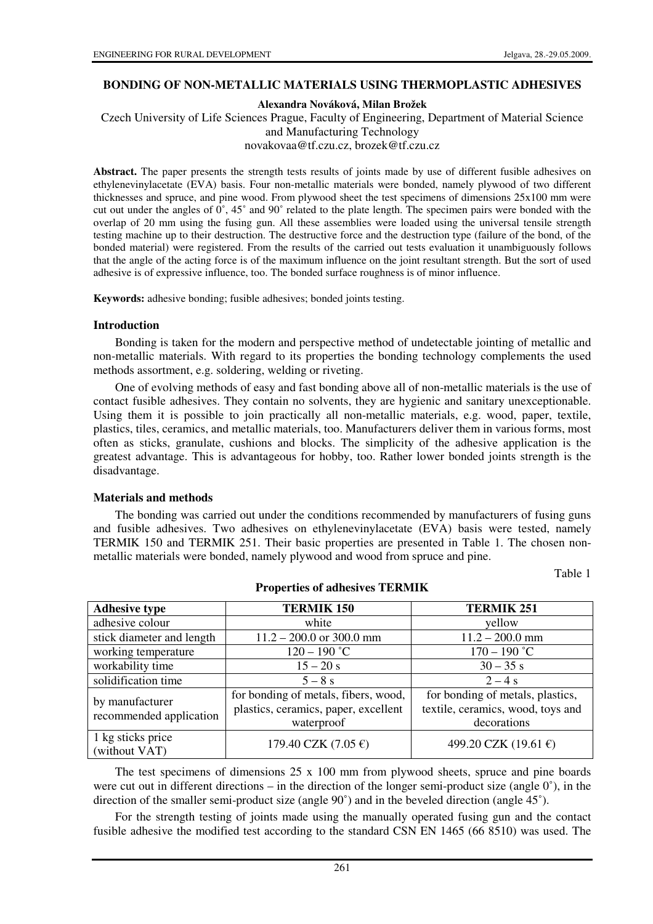#### **BONDING OF NON-METALLIC MATERIALS USING THERMOPLASTIC ADHESIVES**

**Alexandra Nováková, Milan Brožek** 

Czech University of Life Sciences Prague, Faculty of Engineering, Department of Material Science and Manufacturing Technology

novakovaa@tf.czu.cz, brozek@tf.czu.cz

Abstract. The paper presents the strength tests results of joints made by use of different fusible adhesives on ethylenevinylacetate (EVA) basis. Four non-metallic materials were bonded, namely plywood of two different thicknesses and spruce, and pine wood. From plywood sheet the test specimens of dimensions 25x100 mm were cut out under the angles of 0˚, 45˚ and 90˚ related to the plate length. The specimen pairs were bonded with the overlap of 20 mm using the fusing gun. All these assemblies were loaded using the universal tensile strength testing machine up to their destruction. The destructive force and the destruction type (failure of the bond, of the bonded material) were registered. From the results of the carried out tests evaluation it unambiguously follows that the angle of the acting force is of the maximum influence on the joint resultant strength. But the sort of used adhesive is of expressive influence, too. The bonded surface roughness is of minor influence.

**Keywords:** adhesive bonding; fusible adhesives; bonded joints testing.

#### **Introduction**

Bonding is taken for the modern and perspective method of undetectable jointing of metallic and non-metallic materials. With regard to its properties the bonding technology complements the used methods assortment, e.g. soldering, welding or riveting.

One of evolving methods of easy and fast bonding above all of non-metallic materials is the use of contact fusible adhesives. They contain no solvents, they are hygienic and sanitary unexceptionable. Using them it is possible to join practically all non-metallic materials, e.g. wood, paper, textile, plastics, tiles, ceramics, and metallic materials, too. Manufacturers deliver them in various forms, most often as sticks, granulate, cushions and blocks. The simplicity of the adhesive application is the greatest advantage. This is advantageous for hobby, too. Rather lower bonded joints strength is the disadvantage.

#### **Materials and methods**

The bonding was carried out under the conditions recommended by manufacturers of fusing guns and fusible adhesives. Two adhesives on ethylenevinylacetate (EVA) basis were tested, namely TERMIK 150 and TERMIK 251. Their basic properties are presented in Table 1. The chosen nonmetallic materials were bonded, namely plywood and wood from spruce and pine.

Table 1

| <b>Adhesive type</b>                       | <b>TERMIK 150</b>                     | <b>TERMIK 251</b>                 |
|--------------------------------------------|---------------------------------------|-----------------------------------|
| adhesive colour                            | white                                 | yellow                            |
| stick diameter and length                  | $11.2 - 200.0$ or 300.0 mm            | $11.2 - 200.0$ mm                 |
| working temperature                        | $120 - 190$ °C                        | $170 - 190$ °C                    |
| workability time                           | $15 - 20 s$                           | $30 - 35$ s                       |
| solidification time                        | $5-8s$                                | $2 - 4s$                          |
| by manufacturer<br>recommended application | for bonding of metals, fibers, wood,  | for bonding of metals, plastics,  |
|                                            | plastics, ceramics, paper, excellent  | textile, ceramics, wood, toys and |
|                                            | waterproof                            | decorations                       |
| 1 kg sticks price<br>(without VAT)         | 179.40 CZK $(7.05 \text{ } \epsilon)$ | 499.20 CZK (19.61 €)              |

**Properties of adhesives TERMIK** 

The test specimens of dimensions 25 x 100 mm from plywood sheets, spruce and pine boards were cut out in different directions – in the direction of the longer semi-product size (angle  $0^{\circ}$ ), in the direction of the smaller semi-product size (angle 90˚) and in the beveled direction (angle 45˚).

For the strength testing of joints made using the manually operated fusing gun and the contact fusible adhesive the modified test according to the standard CSN EN 1465 (66 8510) was used. The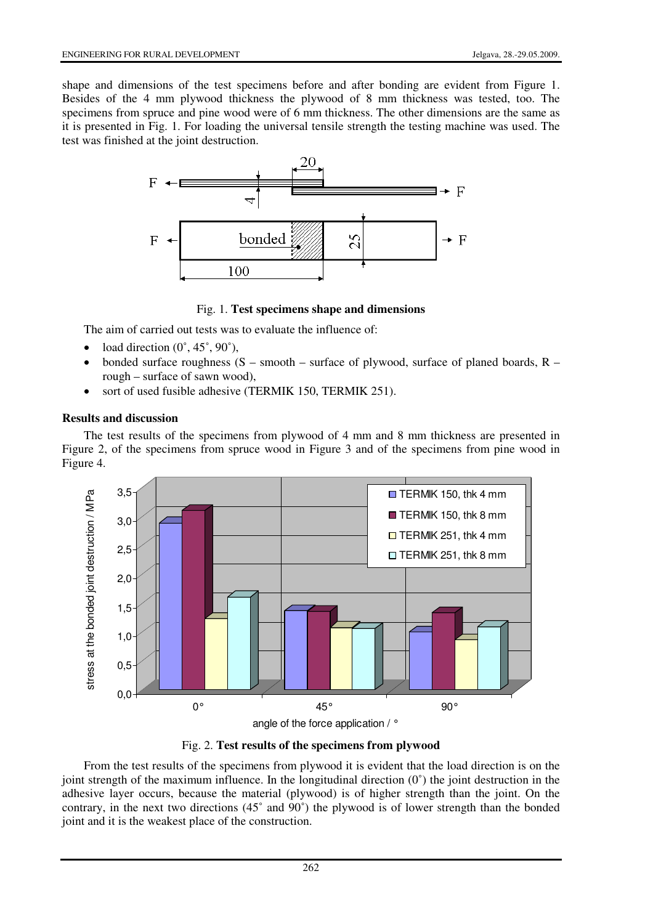shape and dimensions of the test specimens before and after bonding are evident from Figure 1. Besides of the 4 mm plywood thickness the plywood of 8 mm thickness was tested, too. The specimens from spruce and pine wood were of 6 mm thickness. The other dimensions are the same as it is presented in Fig. 1. For loading the universal tensile strength the testing machine was used. The test was finished at the joint destruction.



Fig. 1. **Test specimens shape and dimensions**

The aim of carried out tests was to evaluate the influence of:

- load direction  $(0^\circ, 45^\circ, 90^\circ)$ ,
- bonded surface roughness  $(S smooth surface of plywood, surface of planned boards,  $R$$ rough – surface of sawn wood),
- sort of used fusible adhesive (TERMIK 150, TERMIK 251).

# **Results and discussion**

The test results of the specimens from plywood of 4 mm and 8 mm thickness are presented in Figure 2, of the specimens from spruce wood in Figure 3 and of the specimens from pine wood in Figure 4.



Fig. 2. **Test results of the specimens from plywood**

From the test results of the specimens from plywood it is evident that the load direction is on the joint strength of the maximum influence. In the longitudinal direction  $(0^{\circ})$  the joint destruction in the adhesive layer occurs, because the material (plywood) is of higher strength than the joint. On the contrary, in the next two directions (45˚ and 90˚) the plywood is of lower strength than the bonded joint and it is the weakest place of the construction.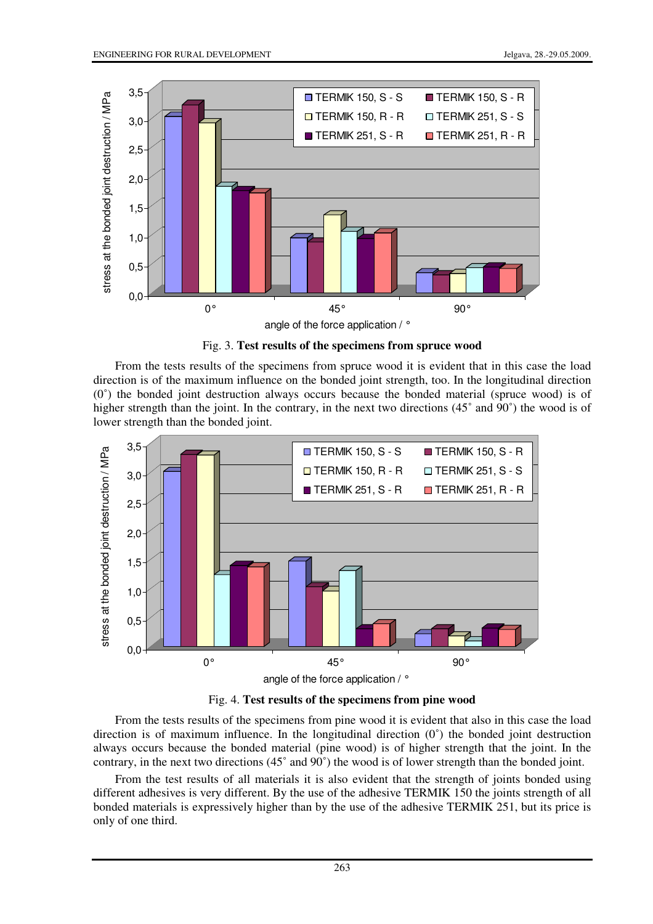

Fig. 3. **Test results of the specimens from spruce wood**

From the tests results of the specimens from spruce wood it is evident that in this case the load direction is of the maximum influence on the bonded joint strength, too. In the longitudinal direction  $(0^{\circ})$  the bonded joint destruction always occurs because the bonded material (spruce wood) is of higher strength than the joint. In the contrary, in the next two directions (45° and 90°) the wood is of lower strength than the bonded joint.



Fig. 4. **Test results of the specimens from pine wood**

From the tests results of the specimens from pine wood it is evident that also in this case the load direction is of maximum influence. In the longitudinal direction (0˚) the bonded joint destruction always occurs because the bonded material (pine wood) is of higher strength that the joint. In the contrary, in the next two directions (45˚ and 90˚) the wood is of lower strength than the bonded joint.

From the test results of all materials it is also evident that the strength of joints bonded using different adhesives is very different. By the use of the adhesive TERMIK 150 the joints strength of all bonded materials is expressively higher than by the use of the adhesive TERMIK 251, but its price is only of one third.